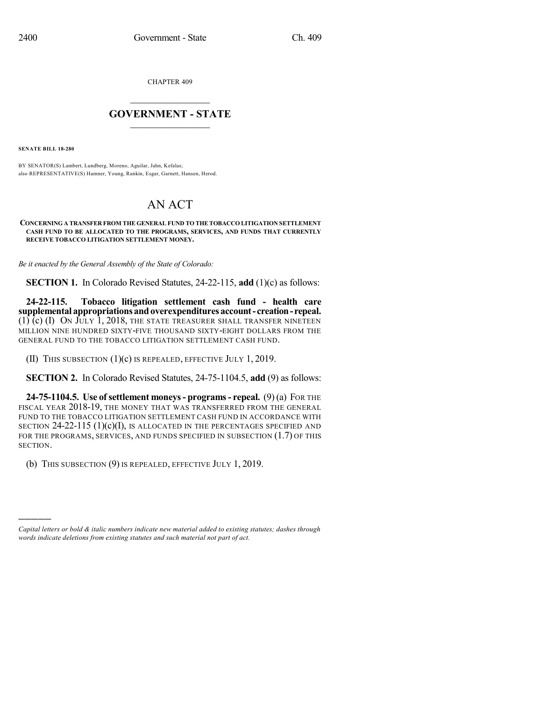CHAPTER 409

## $\mathcal{L}_\text{max}$  . The set of the set of the set of the set of the set of the set of the set of the set of the set of the set of the set of the set of the set of the set of the set of the set of the set of the set of the set **GOVERNMENT - STATE**  $\_$   $\_$

**SENATE BILL 18-280**

)))))

BY SENATOR(S) Lambert, Lundberg, Moreno, Aguilar, Jahn, Kefalas; also REPRESENTATIVE(S) Hamner, Young, Rankin, Esgar, Garnett, Hansen, Herod.

## AN ACT

## **CONCERNING A TRANSFER FROM THE GENERAL FUND TO THETOBACCO LITIGATION SETTLEMENT CASH FUND TO BE ALLOCATED TO THE PROGRAMS, SERVICES, AND FUNDS THAT CURRENTLY RECEIVE TOBACCO LITIGATION SETTLEMENT MONEY.**

*Be it enacted by the General Assembly of the State of Colorado:*

**SECTION 1.** In Colorado Revised Statutes, 24-22-115, **add** (1)(c) as follows:

**24-22-115. Tobacco litigation settlement cash fund - health care supplemental appropriationsandoverexpendituresaccount- creation-repeal.**  $(1)$  (c)  $(I)$  On July 1, 2018, the state treasurer shall transfer nineteen MILLION NINE HUNDRED SIXTY-FIVE THOUSAND SIXTY-EIGHT DOLLARS FROM THE GENERAL FUND TO THE TOBACCO LITIGATION SETTLEMENT CASH FUND.

(II) THIS SUBSECTION (1)(c) IS REPEALED, EFFECTIVE JULY 1, 2019.

**SECTION 2.** In Colorado Revised Statutes, 24-75-1104.5, **add** (9) as follows:

**24-75-1104.5. Use ofsettlement moneys- programs- repeal.** (9) (a) FOR THE FISCAL YEAR 2018-19, THE MONEY THAT WAS TRANSFERRED FROM THE GENERAL FUND TO THE TOBACCO LITIGATION SETTLEMENT CASH FUND IN ACCORDANCE WITH SECTION  $24-22-115$  (1)(c)(I), IS ALLOCATED IN THE PERCENTAGES SPECIFIED AND FOR THE PROGRAMS, SERVICES, AND FUNDS SPECIFIED IN SUBSECTION (1.7) OF THIS SECTION.

(b) THIS SUBSECTION (9) IS REPEALED, EFFECTIVE JULY 1, 2019.

*Capital letters or bold & italic numbers indicate new material added to existing statutes; dashes through words indicate deletions from existing statutes and such material not part of act.*